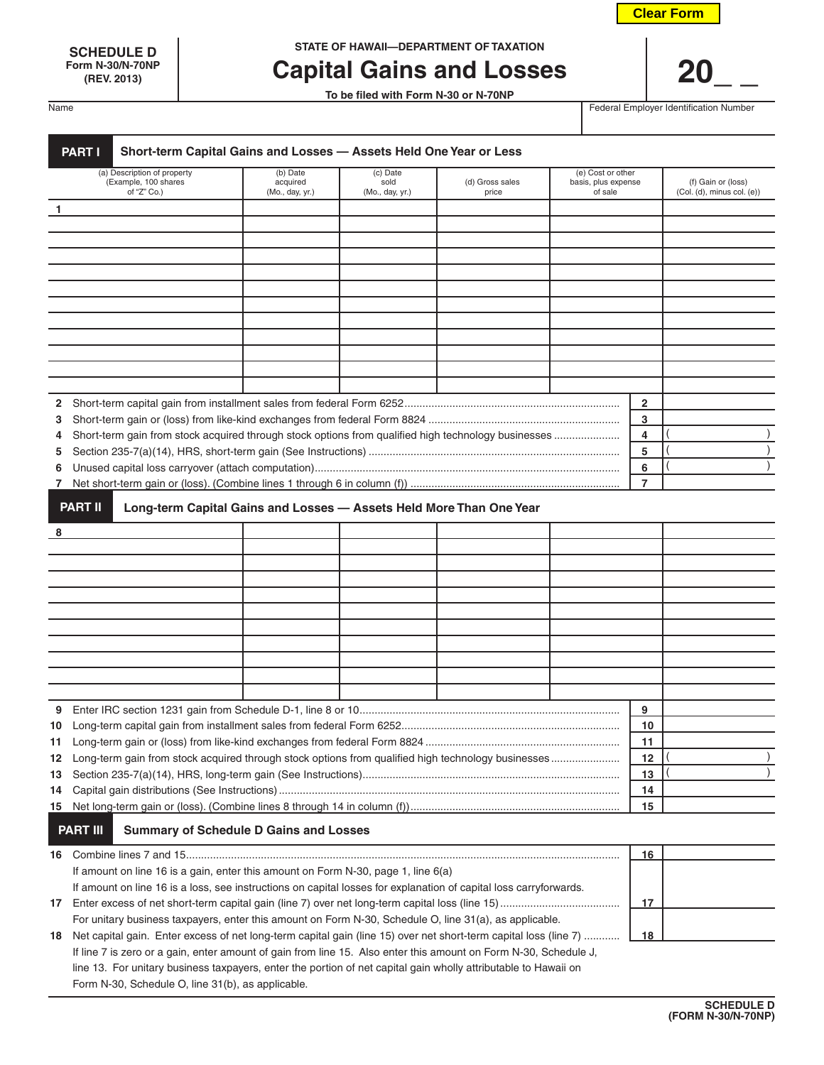|  |  | <b>Clear Form</b> |  |  |
|--|--|-------------------|--|--|
|--|--|-------------------|--|--|

**Form N-30/N-70NP**

**SCHEDULE D STATE OF HAWAII—DEPARTMENT OF TAXATION**

# **Capital Gains and Losses | 20**

**To be filed with Form N-30 or N-70NP**

Name **Federal Employer Identification Number** Federal Employer Identification Number

|                                                                                                                   | Short-term Capital Gains and Losses - Assets Held One Year or Less<br><b>PART I</b>                              |                                                                     |                                     |                          |                                                     |                |                                                       |
|-------------------------------------------------------------------------------------------------------------------|------------------------------------------------------------------------------------------------------------------|---------------------------------------------------------------------|-------------------------------------|--------------------------|-----------------------------------------------------|----------------|-------------------------------------------------------|
|                                                                                                                   | (a) Description of property<br>(Example, 100 shares<br>of "Z" Co.)                                               | (b) Date<br>acquired<br>(Mo., day, yr.)                             | (c) Date<br>sold<br>(Mo., day, yr.) | (d) Gross sales<br>price | (e) Cost or other<br>basis, plus expense<br>of sale |                | (f) Gain or (loss)<br>$(Col. (d),$ minus col. $(e)$ ) |
| 1                                                                                                                 |                                                                                                                  |                                                                     |                                     |                          |                                                     |                |                                                       |
|                                                                                                                   |                                                                                                                  |                                                                     |                                     |                          |                                                     |                |                                                       |
|                                                                                                                   |                                                                                                                  |                                                                     |                                     |                          |                                                     |                |                                                       |
|                                                                                                                   |                                                                                                                  |                                                                     |                                     |                          |                                                     |                |                                                       |
|                                                                                                                   |                                                                                                                  |                                                                     |                                     |                          |                                                     |                |                                                       |
|                                                                                                                   |                                                                                                                  |                                                                     |                                     |                          |                                                     |                |                                                       |
|                                                                                                                   |                                                                                                                  |                                                                     |                                     |                          |                                                     |                |                                                       |
|                                                                                                                   |                                                                                                                  |                                                                     |                                     |                          |                                                     |                |                                                       |
|                                                                                                                   |                                                                                                                  |                                                                     |                                     |                          |                                                     |                |                                                       |
|                                                                                                                   |                                                                                                                  |                                                                     |                                     |                          |                                                     |                |                                                       |
|                                                                                                                   |                                                                                                                  |                                                                     |                                     |                          |                                                     |                |                                                       |
|                                                                                                                   |                                                                                                                  |                                                                     |                                     |                          |                                                     |                |                                                       |
| 2                                                                                                                 |                                                                                                                  |                                                                     |                                     |                          |                                                     | 2              |                                                       |
| 3                                                                                                                 |                                                                                                                  |                                                                     |                                     |                          |                                                     | 3              |                                                       |
| 4                                                                                                                 | Short-term gain from stock acquired through stock options from qualified high technology businesses              |                                                                     |                                     |                          |                                                     | 4              |                                                       |
| 5                                                                                                                 |                                                                                                                  |                                                                     |                                     |                          |                                                     | 5              |                                                       |
| 6                                                                                                                 |                                                                                                                  |                                                                     |                                     |                          |                                                     | 6              |                                                       |
|                                                                                                                   |                                                                                                                  |                                                                     |                                     |                          |                                                     | $\overline{7}$ |                                                       |
|                                                                                                                   | <b>PART II</b>                                                                                                   | Long-term Capital Gains and Losses - Assets Held More Than One Year |                                     |                          |                                                     |                |                                                       |
| 8                                                                                                                 |                                                                                                                  |                                                                     |                                     |                          |                                                     |                |                                                       |
|                                                                                                                   |                                                                                                                  |                                                                     |                                     |                          |                                                     |                |                                                       |
|                                                                                                                   |                                                                                                                  |                                                                     |                                     |                          |                                                     |                |                                                       |
|                                                                                                                   |                                                                                                                  |                                                                     |                                     |                          |                                                     |                |                                                       |
|                                                                                                                   |                                                                                                                  |                                                                     |                                     |                          |                                                     |                |                                                       |
|                                                                                                                   |                                                                                                                  |                                                                     |                                     |                          |                                                     |                |                                                       |
|                                                                                                                   |                                                                                                                  |                                                                     |                                     |                          |                                                     |                |                                                       |
|                                                                                                                   |                                                                                                                  |                                                                     |                                     |                          |                                                     |                |                                                       |
|                                                                                                                   |                                                                                                                  |                                                                     |                                     |                          |                                                     |                |                                                       |
|                                                                                                                   |                                                                                                                  |                                                                     |                                     |                          |                                                     |                |                                                       |
|                                                                                                                   |                                                                                                                  |                                                                     |                                     |                          |                                                     |                |                                                       |
|                                                                                                                   |                                                                                                                  |                                                                     |                                     |                          |                                                     | 9              |                                                       |
|                                                                                                                   |                                                                                                                  |                                                                     |                                     |                          |                                                     | 10             |                                                       |
|                                                                                                                   |                                                                                                                  |                                                                     |                                     |                          |                                                     | 11<br>12       |                                                       |
| 12 Long-term gain from stock acquired through stock options from qualified high technology businesses             |                                                                                                                  |                                                                     |                                     |                          |                                                     |                |                                                       |
|                                                                                                                   |                                                                                                                  |                                                                     |                                     |                          |                                                     |                |                                                       |
|                                                                                                                   |                                                                                                                  |                                                                     |                                     |                          |                                                     |                |                                                       |
|                                                                                                                   |                                                                                                                  |                                                                     |                                     |                          |                                                     | 15             |                                                       |
|                                                                                                                   | <b>PART III</b>                                                                                                  | <b>Summary of Schedule D Gains and Losses</b>                       |                                     |                          |                                                     |                |                                                       |
|                                                                                                                   |                                                                                                                  |                                                                     |                                     |                          |                                                     | 16             |                                                       |
|                                                                                                                   | If amount on line 16 is a gain, enter this amount on Form N-30, page 1, line 6(a)                                |                                                                     |                                     |                          |                                                     |                |                                                       |
| If amount on line 16 is a loss, see instructions on capital losses for explanation of capital loss carryforwards. |                                                                                                                  |                                                                     |                                     |                          |                                                     |                |                                                       |
|                                                                                                                   |                                                                                                                  |                                                                     |                                     |                          |                                                     | 17             |                                                       |
|                                                                                                                   | For unitary business taxpayers, enter this amount on Form N-30, Schedule O, line 31(a), as applicable.           |                                                                     |                                     |                          |                                                     |                |                                                       |
| 18                                                                                                                | Net capital gain. Enter excess of net long-term capital gain (line 15) over net short-term capital loss (line 7) |                                                                     |                                     |                          |                                                     | 18             |                                                       |
|                                                                                                                   | If line 7 is zero or a gain, enter amount of gain from line 15. Also enter this amount on Form N-30, Schedule J, |                                                                     |                                     |                          |                                                     |                |                                                       |
|                                                                                                                   | line 13. For unitary business taxpayers, enter the portion of net capital gain wholly attributable to Hawaii on  |                                                                     |                                     |                          |                                                     |                |                                                       |
|                                                                                                                   | Form N-30, Schedule O, line 31(b), as applicable.                                                                |                                                                     |                                     |                          |                                                     |                |                                                       |